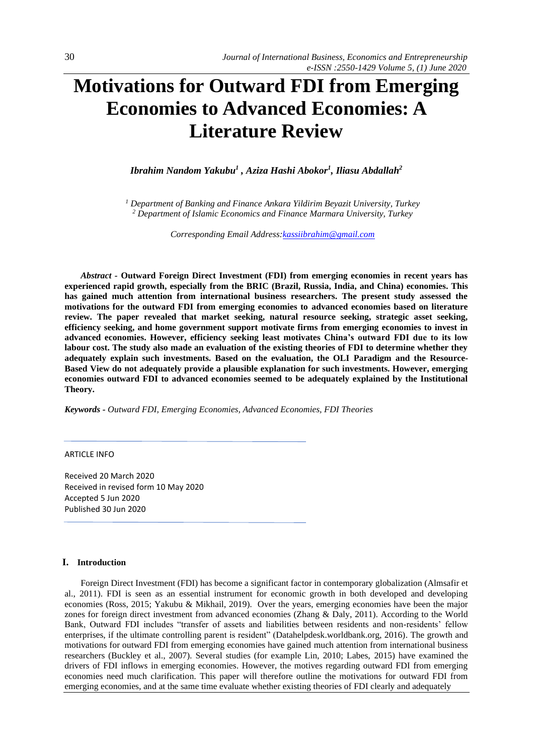# **Motivations for Outward FDI from Emerging Economies to Advanced Economies: A Literature Review**

*Ibrahim Nandom Yakubu<sup>1</sup> , Aziza Hashi Abokor<sup>1</sup> , Iliasu Abdallah<sup>2</sup>*

*<sup>1</sup> Department of Banking and Finance Ankara Yildirim Beyazit University, Turkey <sup>2</sup> Department of Islamic Economics and Finance Marmara University, Turkey*

*Corresponding Email Address[:kassiibrahim@gmail.com](mailto:kassiibrahim@gmail.com)*

*Abstract -* **Outward Foreign Direct Investment (FDI) from emerging economies in recent years has experienced rapid growth, especially from the BRIC (Brazil, Russia, India, and China) economies. This has gained much attention from international business researchers. The present study assessed the motivations for the outward FDI from emerging economies to advanced economies based on literature review. The paper revealed that market seeking, natural resource seeking, strategic asset seeking, efficiency seeking, and home government support motivate firms from emerging economies to invest in advanced economies. However, efficiency seeking least motivates China's outward FDI due to its low labour cost. The study also made an evaluation of the existing theories of FDI to determine whether they adequately explain such investments. Based on the evaluation, the OLI Paradigm and the Resource-Based View do not adequately provide a plausible explanation for such investments. However, emerging economies outward FDI to advanced economies seemed to be adequately explained by the Institutional Theory.**

*Keywords - Outward FDI, Emerging Economies, Advanced Economies, FDI Theories*

## ARTICLE INFO

Received 20 March 2020 Received in revised form 10 May 2020 Accepted 5 Jun 2020 Published 30 Jun 2020

## **I. Introduction**

Foreign Direct Investment (FDI) has become a significant factor in contemporary globalization (Almsafir et al., 2011). FDI is seen as an essential instrument for economic growth in both developed and developing economies (Ross, 2015; Yakubu & Mikhail, 2019). Over the years, emerging economies have been the major zones for foreign direct investment from advanced economies (Zhang & Daly, 2011). According to the World Bank, Outward FDI includes "transfer of assets and liabilities between residents and non-residents' fellow enterprises, if the ultimate controlling parent is resident" (Datahelpdesk.worldbank.org, 2016). The growth and motivations for outward FDI from emerging economies have gained much attention from international business researchers (Buckley et al., 2007). Several studies (for example Lin, 2010; Labes, 2015) have examined the drivers of FDI inflows in emerging economies. However, the motives regarding outward FDI from emerging economies need much clarification. This paper will therefore outline the motivations for outward FDI from emerging economies, and at the same time evaluate whether existing theories of FDI clearly and adequately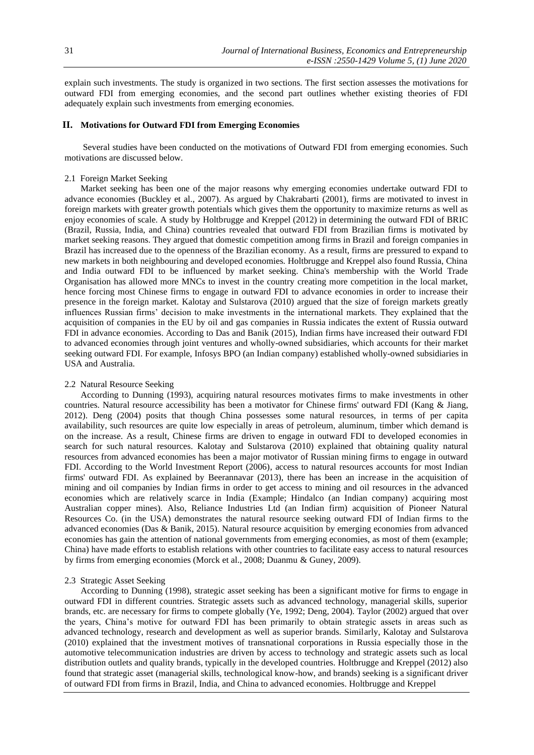explain such investments. The study is organized in two sections. The first section assesses the motivations for outward FDI from emerging economies, and the second part outlines whether existing theories of FDI adequately explain such investments from emerging economies.

## **II. Motivations for Outward FDI from Emerging Economies**

Several studies have been conducted on the motivations of Outward FDI from emerging economies. Such motivations are discussed below.

## 2.1 Foreign Market Seeking

Market seeking has been one of the major reasons why emerging economies undertake outward FDI to advance economies (Buckley et al., 2007). As argued by Chakrabarti (2001), firms are motivated to invest in foreign markets with greater growth potentials which gives them the opportunity to maximize returns as well as enjoy economies of scale. A study by Holtbrugge and Kreppel (2012) in determining the outward FDI of BRIC (Brazil, Russia, India, and China) countries revealed that outward FDI from Brazilian firms is motivated by market seeking reasons. They argued that domestic competition among firms in Brazil and foreign companies in Brazil has increased due to the openness of the Brazilian economy. As a result, firms are pressured to expand to new markets in both neighbouring and developed economies. Holtbrugge and Kreppel also found Russia, China and India outward FDI to be influenced by market seeking. China's membership with the World Trade Organisation has allowed more MNCs to invest in the country creating more competition in the local market, hence forcing most Chinese firms to engage in outward FDI to advance economies in order to increase their presence in the foreign market. Kalotay and Sulstarova (2010) argued that the size of foreign markets greatly influences Russian firms' decision to make investments in the international markets. They explained that the acquisition of companies in the EU by oil and gas companies in Russia indicates the extent of Russia outward FDI in advance economies. According to Das and Banik (2015), Indian firms have increased their outward FDI to advanced economies through joint ventures and wholly-owned subsidiaries, which accounts for their market seeking outward FDI. For example, Infosys BPO (an Indian company) established wholly-owned subsidiaries in USA and Australia.

#### 2.2 Natural Resource Seeking

According to Dunning (1993), acquiring natural resources motivates firms to make investments in other countries. Natural resource accessibility has been a motivator for Chinese firms' outward FDI (Kang & Jiang, 2012). Deng (2004) posits that though China possesses some natural resources, in terms of per capita availability, such resources are quite low especially in areas of petroleum, aluminum, timber which demand is on the increase. As a result, Chinese firms are driven to engage in outward FDI to developed economies in search for such natural resources. Kalotay and Sulstarova (2010) explained that obtaining quality natural resources from advanced economies has been a major motivator of Russian mining firms to engage in outward FDI. According to the World Investment Report (2006), access to natural resources accounts for most Indian firms' outward FDI. As explained by Beerannavar (2013), there has been an increase in the acquisition of mining and oil companies by Indian firms in order to get access to mining and oil resources in the advanced economies which are relatively scarce in India (Example; Hindalco (an Indian company) acquiring most Australian copper mines). Also, Reliance Industries Ltd (an Indian firm) acquisition of Pioneer Natural Resources Co. (in the USA) demonstrates the natural resource seeking outward FDI of Indian firms to the advanced economies (Das & Banik, 2015). Natural resource acquisition by emerging economies from advanced economies has gain the attention of national governments from emerging economies, as most of them (example; China) have made efforts to establish relations with other countries to facilitate easy access to natural resources by firms from emerging economies (Morck et al., 2008; Duanmu & Guney, 2009).

#### 2.3 Strategic Asset Seeking

According to Dunning (1998), strategic asset seeking has been a significant motive for firms to engage in outward FDI in different countries. Strategic assets such as advanced technology, managerial skills, superior brands, etc. are necessary for firms to compete globally (Ye, 1992; Deng, 2004). Taylor (2002) argued that over the years, China's motive for outward FDI has been primarily to obtain strategic assets in areas such as advanced technology, research and development as well as superior brands. Similarly, Kalotay and Sulstarova (2010) explained that the investment motives of transnational corporations in Russia especially those in the automotive telecommunication industries are driven by access to technology and strategic assets such as local distribution outlets and quality brands, typically in the developed countries. Holtbrugge and Kreppel (2012) also found that strategic asset (managerial skills, technological know-how, and brands) seeking is a significant driver of outward FDI from firms in Brazil, India, and China to advanced economies. Holtbrugge and Kreppel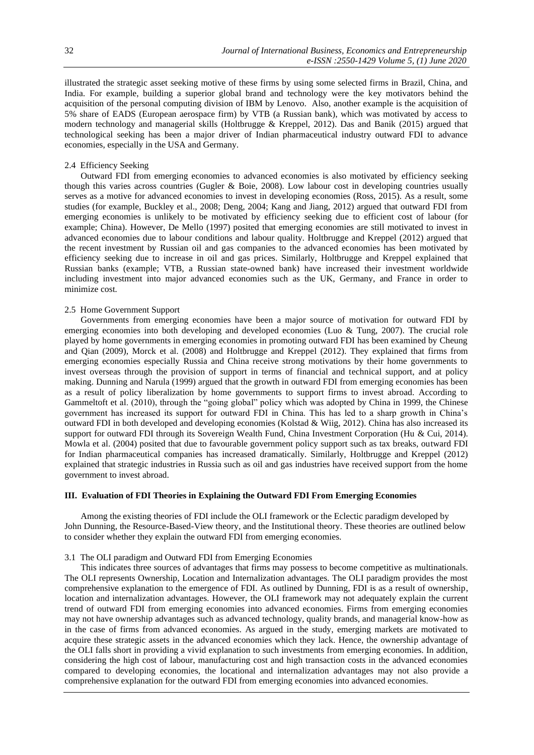illustrated the strategic asset seeking motive of these firms by using some selected firms in Brazil, China, and India. For example, building a superior global brand and technology were the key motivators behind the acquisition of the personal computing division of IBM by Lenovo. Also, another example is the acquisition of 5% share of EADS (European aerospace firm) by VTB (a Russian bank), which was motivated by access to modern technology and managerial skills (Holtbrugge & Kreppel, 2012). Das and Banik (2015) argued that technological seeking has been a major driver of Indian pharmaceutical industry outward FDI to advance economies, especially in the USA and Germany.

## 2.4 Efficiency Seeking

Outward FDI from emerging economies to advanced economies is also motivated by efficiency seeking though this varies across countries (Gugler & Boie, 2008). Low labour cost in developing countries usually serves as a motive for advanced economies to invest in developing economies (Ross, 2015). As a result, some studies (for example, Buckley et al., 2008; Deng, 2004; Kang and Jiang, 2012) argued that outward FDI from emerging economies is unlikely to be motivated by efficiency seeking due to efficient cost of labour (for example; China). However, De Mello (1997) posited that emerging economies are still motivated to invest in advanced economies due to labour conditions and labour quality. Holtbrugge and Kreppel (2012) argued that the recent investment by Russian oil and gas companies to the advanced economies has been motivated by efficiency seeking due to increase in oil and gas prices. Similarly, Holtbrugge and Kreppel explained that Russian banks (example; VTB, a Russian state-owned bank) have increased their investment worldwide including investment into major advanced economies such as the UK, Germany, and France in order to minimize cost*.*

# 2.5 Home Government Support

Governments from emerging economies have been a major source of motivation for outward FDI by emerging economies into both developing and developed economies (Luo & Tung, 2007). The crucial role played by home governments in emerging economies in promoting outward FDI has been examined by Cheung and Qian (2009), Morck et al. (2008) and Holtbrugge and Kreppel (2012). They explained that firms from emerging economies especially Russia and China receive strong motivations by their home governments to invest overseas through the provision of support in terms of financial and technical support, and at policy making. Dunning and Narula (1999) argued that the growth in outward FDI from emerging economies has been as a result of policy liberalization by home governments to support firms to invest abroad. According to Gammeltoft et al. (2010), through the "going global" policy which was adopted by China in 1999, the Chinese government has increased its support for outward FDI in China. This has led to a sharp growth in China's outward FDI in both developed and developing economies (Kolstad & Wiig, 2012). China has also increased its support for outward FDI through its Sovereign Wealth Fund, China Investment Corporation (Hu & Cui, 2014). Mowla et al. (2004) posited that due to favourable government policy support such as tax breaks, outward FDI for Indian pharmaceutical companies has increased dramatically. Similarly, Holtbrugge and Kreppel (2012) explained that strategic industries in Russia such as oil and gas industries have received support from the home government to invest abroad.

# **III. Evaluation of FDI Theories in Explaining the Outward FDI From Emerging Economies**

Among the existing theories of FDI include the OLI framework or the Eclectic paradigm developed by John Dunning, the Resource-Based-View theory, and the Institutional theory. These theories are outlined below to consider whether they explain the outward FDI from emerging economies.

## 3.1 The OLI paradigm and Outward FDI from Emerging Economies

This indicates three sources of advantages that firms may possess to become competitive as multinationals. The OLI represents Ownership, Location and Internalization advantages. The OLI paradigm provides the most comprehensive explanation to the emergence of FDI. As outlined by Dunning, FDI is as a result of ownership, location and internalization advantages. However, the OLI framework may not adequately explain the current trend of outward FDI from emerging economies into advanced economies. Firms from emerging economies may not have ownership advantages such as advanced technology, quality brands, and managerial know-how as in the case of firms from advanced economies. As argued in the study, emerging markets are motivated to acquire these strategic assets in the advanced economies which they lack. Hence, the ownership advantage of the OLI falls short in providing a vivid explanation to such investments from emerging economies. In addition, considering the high cost of labour, manufacturing cost and high transaction costs in the advanced economies compared to developing economies, the locational and internalization advantages may not also provide a comprehensive explanation for the outward FDI from emerging economies into advanced economies.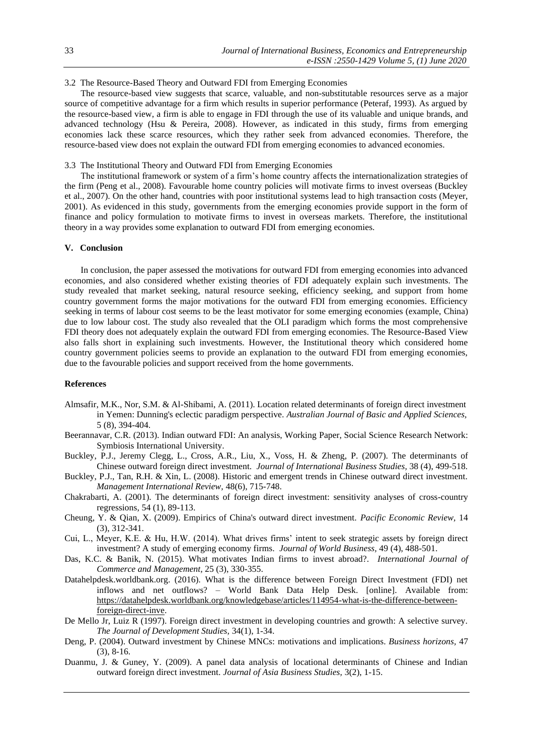# 3.2 The Resource-Based Theory and Outward FDI from Emerging Economies

The resource-based view suggests that scarce, valuable, and non-substitutable resources serve as a major source of competitive advantage for a firm which results in superior performance (Peteraf, 1993). As argued by the resource-based view, a firm is able to engage in FDI through the use of its valuable and unique brands, and advanced technology (Hsu & Pereira, 2008). However, as indicated in this study, firms from emerging economies lack these scarce resources, which they rather seek from advanced economies. Therefore, the resource-based view does not explain the outward FDI from emerging economies to advanced economies.

## 3.3 The Institutional Theory and Outward FDI from Emerging Economies

The institutional framework or system of a firm's home country affects the internationalization strategies of the firm (Peng et al., 2008). Favourable home country policies will motivate firms to invest overseas (Buckley et al., 2007). On the other hand, countries with poor institutional systems lead to high transaction costs (Meyer, 2001). As evidenced in this study, governments from the emerging economies provide support in the form of finance and policy formulation to motivate firms to invest in overseas markets. Therefore, the institutional theory in a way provides some explanation to outward FDI from emerging economies.

## **V. Conclusion**

In conclusion, the paper assessed the motivations for outward FDI from emerging economies into advanced economies, and also considered whether existing theories of FDI adequately explain such investments. The study revealed that market seeking, natural resource seeking, efficiency seeking, and support from home country government forms the major motivations for the outward FDI from emerging economies. Efficiency seeking in terms of labour cost seems to be the least motivator for some emerging economies (example, China) due to low labour cost. The study also revealed that the OLI paradigm which forms the most comprehensive FDI theory does not adequately explain the outward FDI from emerging economies. The Resource-Based View also falls short in explaining such investments. However, the Institutional theory which considered home country government policies seems to provide an explanation to the outward FDI from emerging economies, due to the favourable policies and support received from the home governments.

## **References**

- Almsafir, M.K., Nor, S.M. & Al-Shibami, A. (2011). Location related determinants of foreign direct investment in Yemen: Dunning's eclectic paradigm perspective. *Australian Journal of Basic and Applied Sciences,*  5 (8), 394-404.
- Beerannavar, C.R. (2013). Indian outward FDI: An analysis, Working Paper, Social Science Research Network: Symbiosis International University.
- Buckley, P.J., Jeremy Clegg, L., Cross, A.R., Liu, X., Voss, H. & Zheng, P. (2007). The determinants of Chinese outward foreign direct investment. *Journal of International Business Studies,* 38 (4), 499-518.
- Buckley, P.J., Tan, R.H. & Xin, L. (2008). Historic and emergent trends in Chinese outward direct investment. *Management International Review,* 48(6), 715-748.
- Chakrabarti, A. (2001). The determinants of foreign direct investment: sensitivity analyses of cross-country regressions*,* 54 (1), 89-113.
- Cheung, Y. & Qian, X. (2009). Empirics of China's outward direct investment. *Pacific Economic Review,* 14 (3), 312-341.
- Cui, L., Meyer, K.E. & Hu, H.W. (2014). What drives firms' intent to seek strategic assets by foreign direct investment? A study of emerging economy firms. *Journal of World Business,* 49 (4), 488-501.
- Das, K.C. & Banik, N. (2015). What motivates Indian firms to invest abroad?. *International Journal of Commerce and Management,* 25 (3), 330-355.
- Datahelpdesk.worldbank.org. (2016). What is the difference between Foreign Direct Investment (FDI) net inflows and net outflows? – World Bank Data Help Desk. [online]. Available from: [https://datahelpdesk.worldbank.org/knowledgebase/articles/114954-what-is-the-difference-between](https://datahelpdesk.worldbank.org/knowledgebase/articles/114954-what-is-the-difference-between-foreign-direct-inve)[foreign-direct-inve.](https://datahelpdesk.worldbank.org/knowledgebase/articles/114954-what-is-the-difference-between-foreign-direct-inve)
- De Mello Jr, Luiz R (1997). Foreign direct investment in developing countries and growth: A selective survey. *The Journal of Development Studies,* 34(1), 1-34.
- Deng, P. (2004). Outward investment by Chinese MNCs: motivations and implications. *Business horizons,* 47 (3), 8-16.
- Duanmu, J. & Guney, Y. (2009). A panel data analysis of locational determinants of Chinese and Indian outward foreign direct investment. *Journal of Asia Business Studies,* 3(2), 1-15.